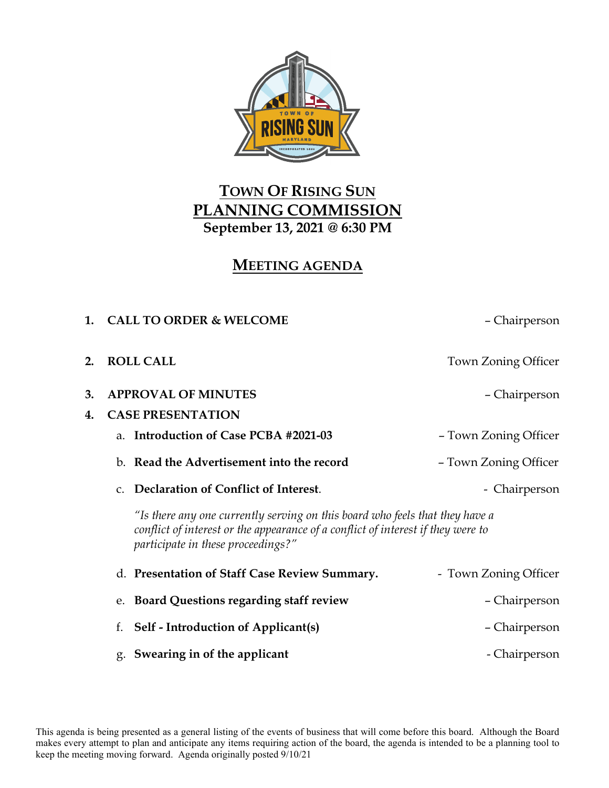

## **TOWN OF RISING SUN PLANNING COMMISSION September 13, 2021 @ 6:30 PM**

## **MEETING AGENDA**

| $\mathbf{1}$ . | <b>CALL TO ORDER &amp; WELCOME</b>                                                                                                                                                                     | - Chairperson         |
|----------------|--------------------------------------------------------------------------------------------------------------------------------------------------------------------------------------------------------|-----------------------|
| 2.             | <b>ROLL CALL</b>                                                                                                                                                                                       | Town Zoning Officer   |
| 3.             | <b>APPROVAL OF MINUTES</b>                                                                                                                                                                             | – Chairperson         |
| 4.             | <b>CASE PRESENTATION</b>                                                                                                                                                                               |                       |
|                | a. Introduction of Case PCBA #2021-03                                                                                                                                                                  | - Town Zoning Officer |
|                | b. Read the Advertisement into the record                                                                                                                                                              | - Town Zoning Officer |
|                | Declaration of Conflict of Interest.<br>$C_{\cdot}$                                                                                                                                                    | - Chairperson         |
|                | "Is there any one currently serving on this board who feels that they have a<br>conflict of interest or the appearance of a conflict of interest if they were to<br>participate in these proceedings?" |                       |
|                | d. Presentation of Staff Case Review Summary.                                                                                                                                                          | - Town Zoning Officer |
|                | e. Board Questions regarding staff review                                                                                                                                                              | - Chairperson         |
|                | <b>Self - Introduction of Applicant(s)</b><br>f.                                                                                                                                                       | – Chairperson         |
|                | g. Swearing in of the applicant                                                                                                                                                                        | - Chairperson         |

This agenda is being presented as a general listing of the events of business that will come before this board. Although the Board makes every attempt to plan and anticipate any items requiring action of the board, the agenda is intended to be a planning tool to keep the meeting moving forward. Agenda originally posted 9/10/21